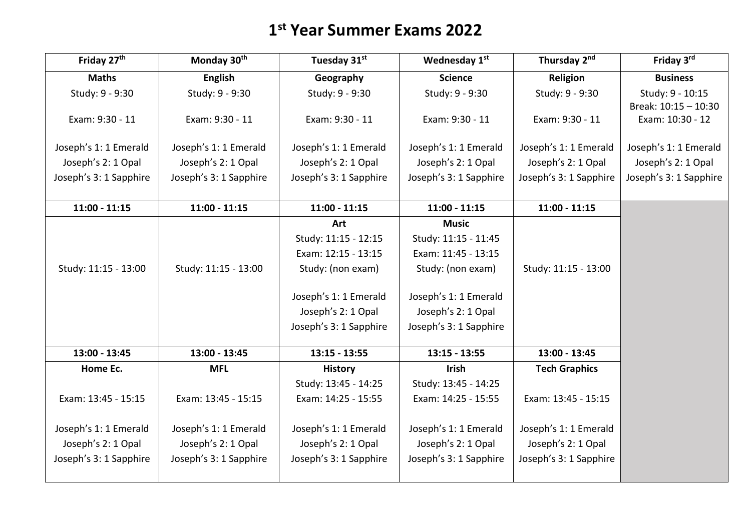## **1 st Year Summer Exams 2022**

| Friday 27th            | Monday 30th            | Tuesday 31st           | Wednesday 1st          | Thursday 2nd           | Friday 3rd             |
|------------------------|------------------------|------------------------|------------------------|------------------------|------------------------|
| <b>Maths</b>           | <b>English</b>         | Geography              | <b>Science</b>         | Religion               | <b>Business</b>        |
| Study: 9 - 9:30        | Study: 9 - 9:30        | Study: 9 - 9:30        | Study: 9 - 9:30        | Study: 9 - 9:30        | Study: 9 - 10:15       |
|                        |                        |                        |                        |                        | Break: 10:15 - 10:30   |
| Exam: 9:30 - 11        | Exam: 9:30 - 11        | Exam: 9:30 - 11        | Exam: 9:30 - 11        | Exam: 9:30 - 11        | Exam: 10:30 - 12       |
| Joseph's 1: 1 Emerald  | Joseph's 1: 1 Emerald  | Joseph's 1: 1 Emerald  | Joseph's 1: 1 Emerald  | Joseph's 1: 1 Emerald  | Joseph's 1: 1 Emerald  |
| Joseph's 2: 1 Opal     | Joseph's 2: 1 Opal     | Joseph's 2: 1 Opal     | Joseph's 2: 1 Opal     | Joseph's 2: 1 Opal     | Joseph's 2: 1 Opal     |
| Joseph's 3: 1 Sapphire | Joseph's 3: 1 Sapphire | Joseph's 3: 1 Sapphire | Joseph's 3: 1 Sapphire | Joseph's 3: 1 Sapphire | Joseph's 3: 1 Sapphire |
|                        |                        |                        |                        |                        |                        |
| $11:00 - 11:15$        | $11:00 - 11:15$        | $11:00 - 11:15$        | $11:00 - 11:15$        | $11:00 - 11:15$        |                        |
|                        |                        | Art                    | <b>Music</b>           |                        |                        |
|                        |                        | Study: 11:15 - 12:15   | Study: 11:15 - 11:45   |                        |                        |
|                        |                        | Exam: 12:15 - 13:15    | Exam: 11:45 - 13:15    |                        |                        |
| Study: 11:15 - 13:00   | Study: 11:15 - 13:00   | Study: (non exam)      | Study: (non exam)      | Study: 11:15 - 13:00   |                        |
|                        |                        |                        |                        |                        |                        |
|                        |                        | Joseph's 1: 1 Emerald  | Joseph's 1: 1 Emerald  |                        |                        |
|                        |                        | Joseph's 2: 1 Opal     | Joseph's 2: 1 Opal     |                        |                        |
|                        |                        | Joseph's 3: 1 Sapphire | Joseph's 3: 1 Sapphire |                        |                        |
| 13:00 - 13:45          | 13:00 - 13:45          | $13:15 - 13:55$        | $13:15 - 13:55$        | 13:00 - 13:45          |                        |
| Home Ec.               | <b>MFL</b>             | <b>History</b>         | <b>Irish</b>           | <b>Tech Graphics</b>   |                        |
|                        |                        | Study: 13:45 - 14:25   | Study: 13:45 - 14:25   |                        |                        |
| Exam: 13:45 - 15:15    | Exam: 13:45 - 15:15    | Exam: 14:25 - 15:55    | Exam: 14:25 - 15:55    | Exam: 13:45 - 15:15    |                        |
|                        |                        |                        |                        |                        |                        |
| Joseph's 1: 1 Emerald  | Joseph's 1: 1 Emerald  | Joseph's 1: 1 Emerald  | Joseph's 1: 1 Emerald  | Joseph's 1: 1 Emerald  |                        |
| Joseph's 2: 1 Opal     | Joseph's 2: 1 Opal     | Joseph's 2: 1 Opal     | Joseph's 2: 1 Opal     | Joseph's 2: 1 Opal     |                        |
| Joseph's 3: 1 Sapphire | Joseph's 3: 1 Sapphire | Joseph's 3: 1 Sapphire | Joseph's 3: 1 Sapphire | Joseph's 3: 1 Sapphire |                        |
|                        |                        |                        |                        |                        |                        |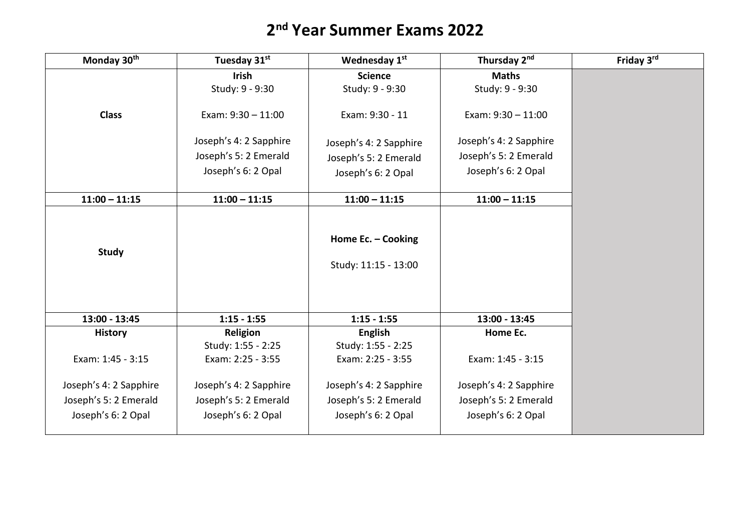## **2 nd Year Summer Exams 2022**

| Monday 30th            | Tuesday 31st           | Wednesday 1st                              | Thursday 2nd           | Friday 3rd |
|------------------------|------------------------|--------------------------------------------|------------------------|------------|
|                        | <b>Irish</b>           | <b>Science</b>                             | <b>Maths</b>           |            |
|                        | Study: 9 - 9:30        | Study: 9 - 9:30                            | Study: 9 - 9:30        |            |
| <b>Class</b>           | Exam: $9:30 - 11:00$   | Exam: 9:30 - 11                            | Exam: $9:30 - 11:00$   |            |
|                        | Joseph's 4: 2 Sapphire | Joseph's 4: 2 Sapphire                     | Joseph's 4: 2 Sapphire |            |
|                        | Joseph's 5: 2 Emerald  | Joseph's 5: 2 Emerald                      | Joseph's 5: 2 Emerald  |            |
|                        | Joseph's 6: 2 Opal     | Joseph's 6: 2 Opal                         | Joseph's 6: 2 Opal     |            |
|                        |                        |                                            |                        |            |
| $11:00 - 11:15$        | $11:00 - 11:15$        | $11:00 - 11:15$                            | $11:00 - 11:15$        |            |
| <b>Study</b>           |                        | Home Ec. - Cooking<br>Study: 11:15 - 13:00 |                        |            |
| 13:00 - 13:45          | $1:15 - 1:55$          | $1:15 - 1:55$                              | 13:00 - 13:45          |            |
| <b>History</b>         | Religion               | <b>English</b>                             | Home Ec.               |            |
|                        | Study: 1:55 - 2:25     | Study: 1:55 - 2:25                         |                        |            |
| Exam: 1:45 - 3:15      | Exam: 2:25 - 3:55      | Exam: 2:25 - 3:55                          | Exam: 1:45 - 3:15      |            |
| Joseph's 4: 2 Sapphire | Joseph's 4: 2 Sapphire | Joseph's 4: 2 Sapphire                     | Joseph's 4: 2 Sapphire |            |
| Joseph's 5: 2 Emerald  | Joseph's 5: 2 Emerald  | Joseph's 5: 2 Emerald                      | Joseph's 5: 2 Emerald  |            |
| Joseph's 6: 2 Opal     | Joseph's 6: 2 Opal     | Joseph's 6: 2 Opal                         | Joseph's 6: 2 Opal     |            |